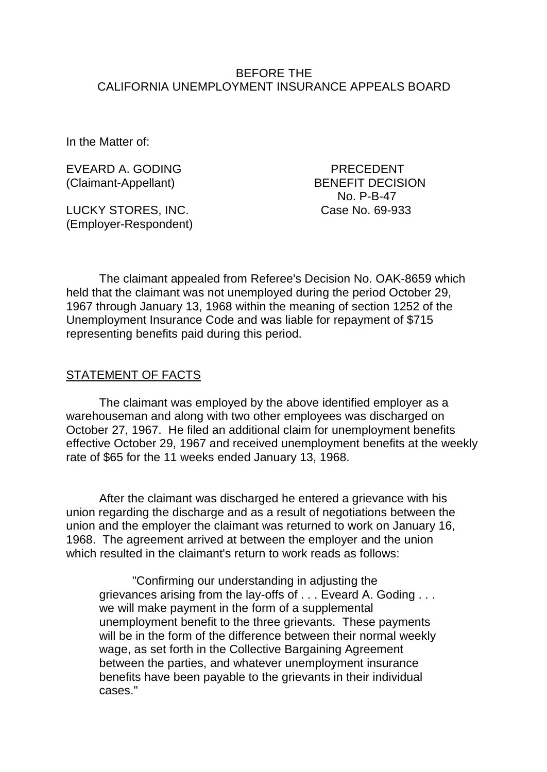### BEFORE THE CALIFORNIA UNEMPLOYMENT INSURANCE APPEALS BOARD

In the Matter of:

EVEARD A. GODING PRECEDENT (Claimant-Appellant) BENEFIT DECISION

LUCKY STORES, INC. Case No. 69-933 (Employer-Respondent)

No. P-B-47

The claimant appealed from Referee's Decision No. OAK-8659 which held that the claimant was not unemployed during the period October 29, 1967 through January 13, 1968 within the meaning of section 1252 of the Unemployment Insurance Code and was liable for repayment of \$715 representing benefits paid during this period.

#### STATEMENT OF FACTS

The claimant was employed by the above identified employer as a warehouseman and along with two other employees was discharged on October 27, 1967. He filed an additional claim for unemployment benefits effective October 29, 1967 and received unemployment benefits at the weekly rate of \$65 for the 11 weeks ended January 13, 1968.

After the claimant was discharged he entered a grievance with his union regarding the discharge and as a result of negotiations between the union and the employer the claimant was returned to work on January 16, 1968. The agreement arrived at between the employer and the union which resulted in the claimant's return to work reads as follows:

"Confirming our understanding in adjusting the grievances arising from the lay-offs of . . . Eveard A. Goding . . . we will make payment in the form of a supplemental unemployment benefit to the three grievants. These payments will be in the form of the difference between their normal weekly wage, as set forth in the Collective Bargaining Agreement between the parties, and whatever unemployment insurance benefits have been payable to the grievants in their individual cases."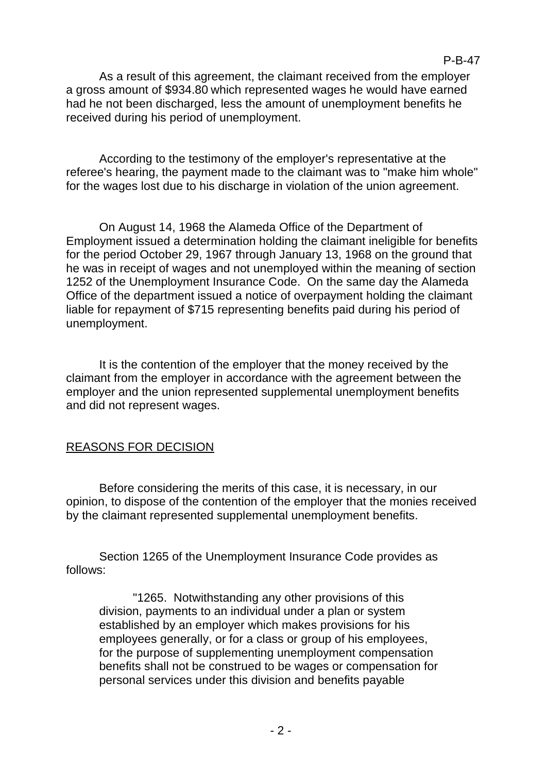### P-B-47

As a result of this agreement, the claimant received from the employer a gross amount of \$934.80 which represented wages he would have earned had he not been discharged, less the amount of unemployment benefits he received during his period of unemployment.

According to the testimony of the employer's representative at the referee's hearing, the payment made to the claimant was to "make him whole" for the wages lost due to his discharge in violation of the union agreement.

On August 14, 1968 the Alameda Office of the Department of Employment issued a determination holding the claimant ineligible for benefits for the period October 29, 1967 through January 13, 1968 on the ground that he was in receipt of wages and not unemployed within the meaning of section 1252 of the Unemployment Insurance Code. On the same day the Alameda Office of the department issued a notice of overpayment holding the claimant liable for repayment of \$715 representing benefits paid during his period of unemployment.

It is the contention of the employer that the money received by the claimant from the employer in accordance with the agreement between the employer and the union represented supplemental unemployment benefits and did not represent wages.

# REASONS FOR DECISION

Before considering the merits of this case, it is necessary, in our opinion, to dispose of the contention of the employer that the monies received by the claimant represented supplemental unemployment benefits.

Section 1265 of the Unemployment Insurance Code provides as follows:

"1265. Notwithstanding any other provisions of this division, payments to an individual under a plan or system established by an employer which makes provisions for his employees generally, or for a class or group of his employees, for the purpose of supplementing unemployment compensation benefits shall not be construed to be wages or compensation for personal services under this division and benefits payable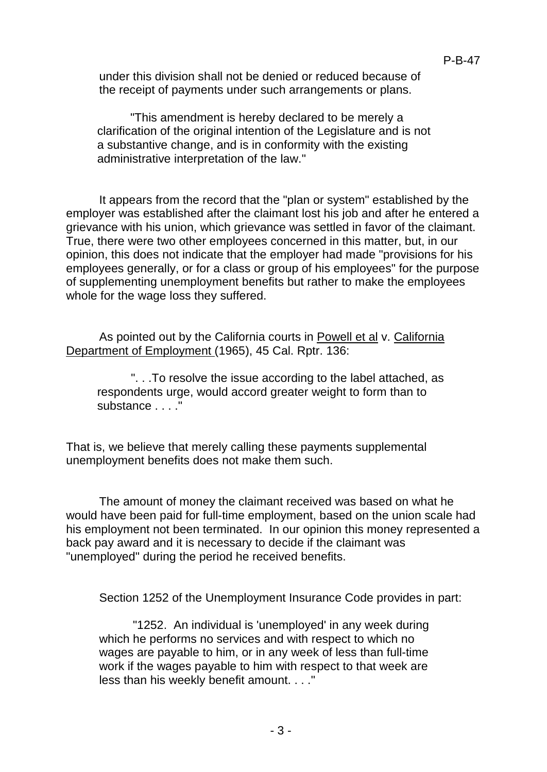under this division shall not be denied or reduced because of the receipt of payments under such arrangements or plans.

"This amendment is hereby declared to be merely a clarification of the original intention of the Legislature and is not a substantive change, and is in conformity with the existing administrative interpretation of the law."

It appears from the record that the "plan or system" established by the employer was established after the claimant lost his job and after he entered a grievance with his union, which grievance was settled in favor of the claimant. True, there were two other employees concerned in this matter, but, in our opinion, this does not indicate that the employer had made "provisions for his employees generally, or for a class or group of his employees" for the purpose of supplementing unemployment benefits but rather to make the employees whole for the wage loss they suffered.

As pointed out by the California courts in Powell et al v. California Department of Employment (1965), 45 Cal. Rptr. 136:

". . .To resolve the issue according to the label attached, as respondents urge, would accord greater weight to form than to substance . . . ."

That is, we believe that merely calling these payments supplemental unemployment benefits does not make them such.

The amount of money the claimant received was based on what he would have been paid for full-time employment, based on the union scale had his employment not been terminated. In our opinion this money represented a back pay award and it is necessary to decide if the claimant was "unemployed" during the period he received benefits.

Section 1252 of the Unemployment Insurance Code provides in part:

"1252. An individual is 'unemployed' in any week during which he performs no services and with respect to which no wages are payable to him, or in any week of less than full-time work if the wages payable to him with respect to that week are less than his weekly benefit amount. . . ."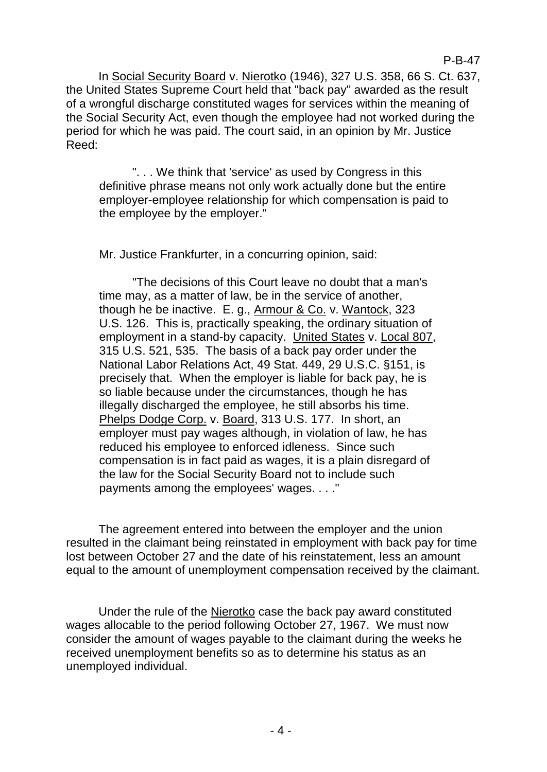In Social Security Board v. Nierotko (1946), 327 U.S. 358, 66 S. Ct. 637, the United States Supreme Court held that "back pay" awarded as the result of a wrongful discharge constituted wages for services within the meaning of the Social Security Act, even though the employee had not worked during the period for which he was paid. The court said, in an opinion by Mr. Justice Reed:

". . . We think that 'service' as used by Congress in this definitive phrase means not only work actually done but the entire employer-employee relationship for which compensation is paid to the employee by the employer."

Mr. Justice Frankfurter, in a concurring opinion, said:

"The decisions of this Court leave no doubt that a man's time may, as a matter of law, be in the service of another, though he be inactive. E. g., Armour & Co. v. Wantock, 323 U.S. 126. This is, practically speaking, the ordinary situation of employment in a stand-by capacity. United States v. Local 807, 315 U.S. 521, 535. The basis of a back pay order under the National Labor Relations Act, 49 Stat. 449, 29 U.S.C. §151, is precisely that. When the employer is liable for back pay, he is so liable because under the circumstances, though he has illegally discharged the employee, he still absorbs his time. Phelps Dodge Corp. v. Board, 313 U.S. 177. In short, an employer must pay wages although, in violation of law, he has reduced his employee to enforced idleness. Since such compensation is in fact paid as wages, it is a plain disregard of the law for the Social Security Board not to include such payments among the employees' wages. . . ."

The agreement entered into between the employer and the union resulted in the claimant being reinstated in employment with back pay for time lost between October 27 and the date of his reinstatement, less an amount equal to the amount of unemployment compensation received by the claimant.

Under the rule of the Nierotko case the back pay award constituted wages allocable to the period following October 27, 1967. We must now consider the amount of wages payable to the claimant during the weeks he received unemployment benefits so as to determine his status as an unemployed individual.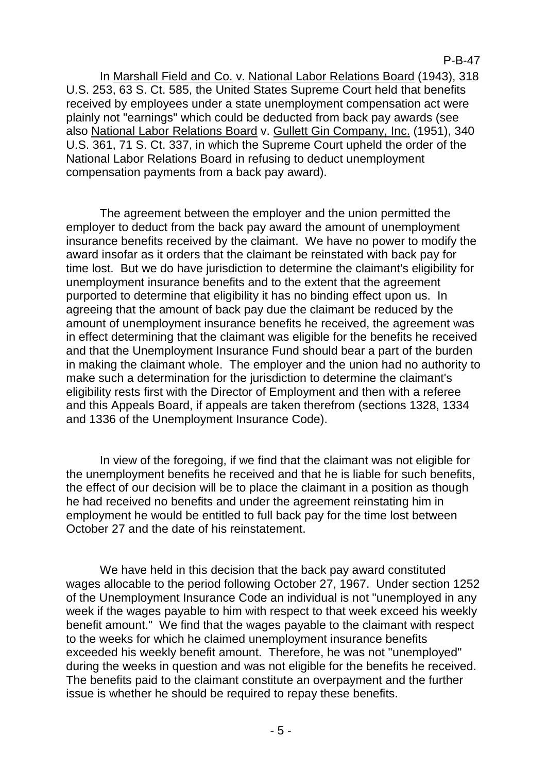In Marshall Field and Co. v. National Labor Relations Board (1943), 318 U.S. 253, 63 S. Ct. 585, the United States Supreme Court held that benefits received by employees under a state unemployment compensation act were plainly not "earnings" which could be deducted from back pay awards (see also National Labor Relations Board v. Gullett Gin Company, Inc. (1951), 340 U.S. 361, 71 S. Ct. 337, in which the Supreme Court upheld the order of the National Labor Relations Board in refusing to deduct unemployment compensation payments from a back pay award).

The agreement between the employer and the union permitted the employer to deduct from the back pay award the amount of unemployment insurance benefits received by the claimant. We have no power to modify the award insofar as it orders that the claimant be reinstated with back pay for time lost. But we do have jurisdiction to determine the claimant's eligibility for unemployment insurance benefits and to the extent that the agreement purported to determine that eligibility it has no binding effect upon us. In agreeing that the amount of back pay due the claimant be reduced by the amount of unemployment insurance benefits he received, the agreement was in effect determining that the claimant was eligible for the benefits he received and that the Unemployment Insurance Fund should bear a part of the burden in making the claimant whole. The employer and the union had no authority to make such a determination for the jurisdiction to determine the claimant's eligibility rests first with the Director of Employment and then with a referee and this Appeals Board, if appeals are taken therefrom (sections 1328, 1334 and 1336 of the Unemployment Insurance Code).

In view of the foregoing, if we find that the claimant was not eligible for the unemployment benefits he received and that he is liable for such benefits, the effect of our decision will be to place the claimant in a position as though he had received no benefits and under the agreement reinstating him in employment he would be entitled to full back pay for the time lost between October 27 and the date of his reinstatement.

We have held in this decision that the back pay award constituted wages allocable to the period following October 27, 1967. Under section 1252 of the Unemployment Insurance Code an individual is not "unemployed in any week if the wages payable to him with respect to that week exceed his weekly benefit amount." We find that the wages payable to the claimant with respect to the weeks for which he claimed unemployment insurance benefits exceeded his weekly benefit amount. Therefore, he was not "unemployed" during the weeks in question and was not eligible for the benefits he received. The benefits paid to the claimant constitute an overpayment and the further issue is whether he should be required to repay these benefits.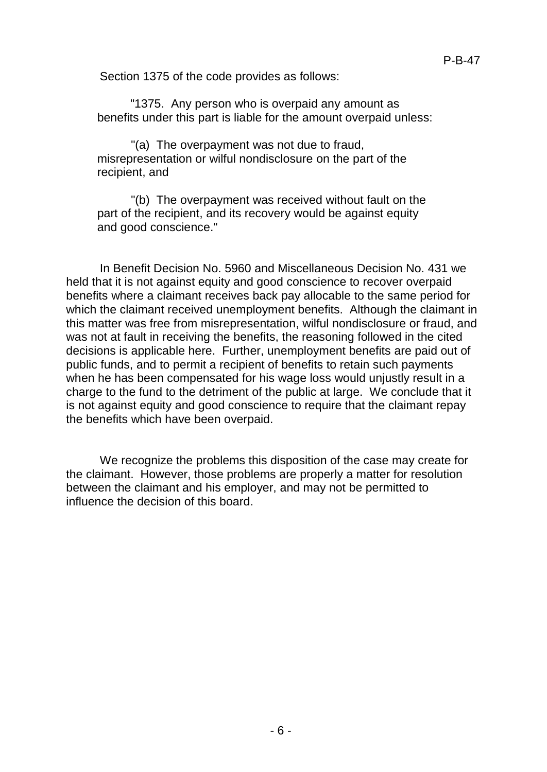Section 1375 of the code provides as follows:

"1375. Any person who is overpaid any amount as benefits under this part is liable for the amount overpaid unless:

"(a) The overpayment was not due to fraud, misrepresentation or wilful nondisclosure on the part of the recipient, and

"(b) The overpayment was received without fault on the part of the recipient, and its recovery would be against equity and good conscience."

In Benefit Decision No. 5960 and Miscellaneous Decision No. 431 we held that it is not against equity and good conscience to recover overpaid benefits where a claimant receives back pay allocable to the same period for which the claimant received unemployment benefits. Although the claimant in this matter was free from misrepresentation, wilful nondisclosure or fraud, and was not at fault in receiving the benefits, the reasoning followed in the cited decisions is applicable here. Further, unemployment benefits are paid out of public funds, and to permit a recipient of benefits to retain such payments when he has been compensated for his wage loss would unjustly result in a charge to the fund to the detriment of the public at large. We conclude that it is not against equity and good conscience to require that the claimant repay the benefits which have been overpaid.

We recognize the problems this disposition of the case may create for the claimant. However, those problems are properly a matter for resolution between the claimant and his employer, and may not be permitted to influence the decision of this board.